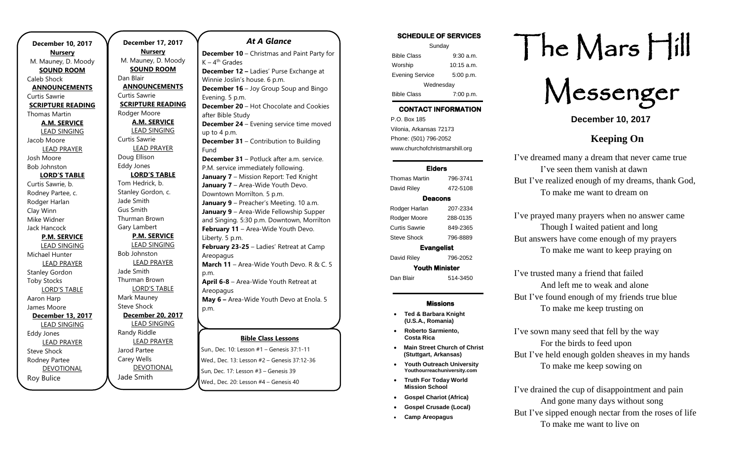**December 10, 2017 Nursery** M. Mauney, D. Moody **SOUND ROOM** Caleb Shock **ANNOUNCEMENTS** Curtis Sawrie **SCRIPTURE READING** Thomas Martin **A.M. SERVICE** LEAD SINGING Jacob Moore LEAD PRAYER Josh Moore Bob Johnston **LORD'S TABLE** Curtis Sawrie, b. Rodney Partee, c. Rodger Harlan Clay Winn Mike Widner Jack Hancock **P.M. SERVICE** LEAD SINGING Michael Hunter LEAD PRAYER Stanley Gordon Toby Stocks LORD'S TABLE Aaron Harp James Moore **December 13, 2017** LEAD SINGING Eddy Jones LEAD PRAYER Steve Shock Rodney Partee DEVOTIONAL

.

Roy Bulice

**December 17, 2017 Nursery** M. Mauney, D. Moody **SOUND ROOM** Dan Blair **ANNOUNCEMENTS** Curtis Sawrie **SCRIPTURE READING** Rodger Moore **A.M. SERVICE** LEAD SINGING Curtis Sawrie LEAD PRAYER Doug Ellison Eddy Jones **LORD'S TABLE** Tom Hedrick, b. Stanley Gordon, c. Jade Smith Gus Smith Thurman Brown Gary Lambert **P.M. SERVICE** LEAD SINGING Bob Johnston LEAD PRAYER Jade Smith Thurman Brown LORD'S TABLE Mark Mauney Steve Shock **December 20, 2017** LEAD SINGING Randy Riddle LEAD PRAYER Jarod Partee Carey Wells DEVOTIONAL

Jade Smith

## *At A Glance*

**Bible Class Lessons July 8-13, 2018 –** Gospel Gathering **December 10** – Christmas and Paint Party for K – 4<sup>th</sup> Grades **December 12 –** Ladies' Purse Exchange at Winnie Joslin's house. 6 p.m. **December 16** – Joy Group Soup and Bingo Evening. 5 p.m. **December 20** – Hot Chocolate and Cookies after Bible Study **December 24** – Evening service time moved up to 4 p.m. **December 31** – Contribution to Building Fund **December 31** – Potluck after a.m. service. P.M. service immediately following. **January 7** – Mission Report: Ted Knight **January 7** – Area-Wide Youth Devo. Downtown Morrilton. 5 p.m. **January 9** – Preacher's Meeting. 10 a.m. **January 9** – Area-Wide Fellowship Supper and Singing. 5:30 p.m. Downtown, Morrilton **February 11** – Area-Wide Youth Devo. Liberty. 5 p.m. **February 23-25** – Ladies' Retreat at Camp **Areopagus March 11** – Area-Wide Youth Devo. R & C. 5 p.m. **April 6-8** – Area-Wide Youth Retreat at Areopagus **May 6 –** Area-Wide Youth Devo at Enola. 5 p.m. **July 10** 

Sun., Dec. 10: Lesson #1 – Genesis 37:1-11 Wed., Dec. 13: Lesson #2 – Genesis 37:12-36 Sun, Dec. 17: Lesson #3 – Genesis 39 Wed., Dec. 20: Lesson #4 – Genesis 40

| <b>SCHEDULE OF SERVICES</b> |
|-----------------------------|
| Sunday                      |
| $9:30$ a.m.                 |
| $10:15 \text{ a.m.}$        |
| 5:00 p.m.                   |
| Wednesday                   |
| 7:00 p.m.                   |
|                             |

#### Tuesday CONTACT INFORMATION

. .o. Box 166<br>Vilonia, Arkansas 72173 P.O. Box 185 Phone: (501) 796-2052 www.churchofchristmarshill.org

### Elders

Thomas Martin 796-3741 David Riley 472-5108 Deacons Rodger Harlan 207-2334 Rodger Moore 288-0135 Curtis Sawrie 849-2365 Steve Shock 796-8889 Evangelist David Riley 796-2052 Youth Minister

Dan Blair 514-3450

## Missions

- **Ted & Barbara Knight (U.S.A., Romania)**
- **Roberto Sarmiento, Costa Rica**
- **Main Street Church of Christ (Stuttgart, Arkansas)**
- **Youth Outreach University Youthourreachuniversity.com**
- **Truth For Today World Mission School**
- **Gospel Chariot (Africa)**
- **Gospel Crusade (Local)**
- **Camp Areopagus**

# The Mars Hill

Messenger

**December 10, 2017**

# **Keeping On**

I've dreamed many a dream that never came true I've seen them vanish at dawn But I've realized enough of my dreams, thank God, To make me want to dream on

I've prayed many prayers when no answer came Though I waited patient and long But answers have come enough of my prayers To make me want to keep praying on

I've trusted many a friend that failed And left me to weak and alone But I've found enough of my friends true blue To make me keep trusting on

I've sown many seed that fell by the way For the birds to feed upon But I've held enough golden sheaves in my hands To make me keep sowing on

I've drained the cup of disappointment and pain And gone many days without song But I've sipped enough nectar from the roses of life To make me want to live on